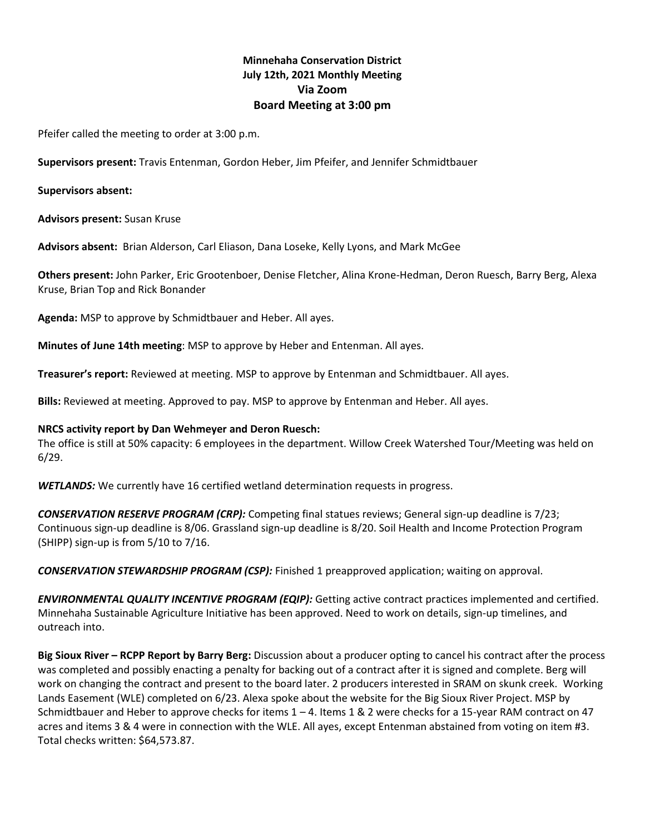# **Minnehaha Conservation District July 12th, 2021 Monthly Meeting Via Zoom Board Meeting at 3:00 pm**

Pfeifer called the meeting to order at 3:00 p.m.

**Supervisors present:** Travis Entenman, Gordon Heber, Jim Pfeifer, and Jennifer Schmidtbauer

**Supervisors absent:**

**Advisors present:** Susan Kruse

**Advisors absent:** Brian Alderson, Carl Eliason, Dana Loseke, Kelly Lyons, and Mark McGee

**Others present:** John Parker, Eric Grootenboer, Denise Fletcher, Alina Krone-Hedman, Deron Ruesch, Barry Berg, Alexa Kruse, Brian Top and Rick Bonander

**Agenda:** MSP to approve by Schmidtbauer and Heber. All ayes.

**Minutes of June 14th meeting**: MSP to approve by Heber and Entenman. All ayes.

**Treasurer's report:** Reviewed at meeting. MSP to approve by Entenman and Schmidtbauer. All ayes.

**Bills:** Reviewed at meeting. Approved to pay. MSP to approve by Entenman and Heber. All ayes.

#### **NRCS activity report by Dan Wehmeyer and Deron Ruesch:**

The office is still at 50% capacity: 6 employees in the department. Willow Creek Watershed Tour/Meeting was held on 6/29.

*WETLANDS:* We currently have 16 certified wetland determination requests in progress.

*CONSERVATION RESERVE PROGRAM (CRP):* Competing final statues reviews; General sign-up deadline is 7/23; Continuous sign-up deadline is 8/06. Grassland sign-up deadline is 8/20. Soil Health and Income Protection Program (SHIPP) sign-up is from 5/10 to 7/16.

*CONSERVATION STEWARDSHIP PROGRAM (CSP):* Finished 1 preapproved application; waiting on approval.

*ENVIRONMENTAL QUALITY INCENTIVE PROGRAM (EQIP):* Getting active contract practices implemented and certified. Minnehaha Sustainable Agriculture Initiative has been approved. Need to work on details, sign-up timelines, and outreach into.

**Big Sioux River – RCPP Report by Barry Berg:** Discussion about a producer opting to cancel his contract after the process was completed and possibly enacting a penalty for backing out of a contract after it is signed and complete. Berg will work on changing the contract and present to the board later. 2 producers interested in SRAM on skunk creek. Working Lands Easement (WLE) completed on 6/23. Alexa spoke about the website for the Big Sioux River Project. MSP by Schmidtbauer and Heber to approve checks for items  $1 - 4$ . Items 1 & 2 were checks for a 15-year RAM contract on 47 acres and items 3 & 4 were in connection with the WLE. All ayes, except Entenman abstained from voting on item #3. Total checks written: \$64,573.87.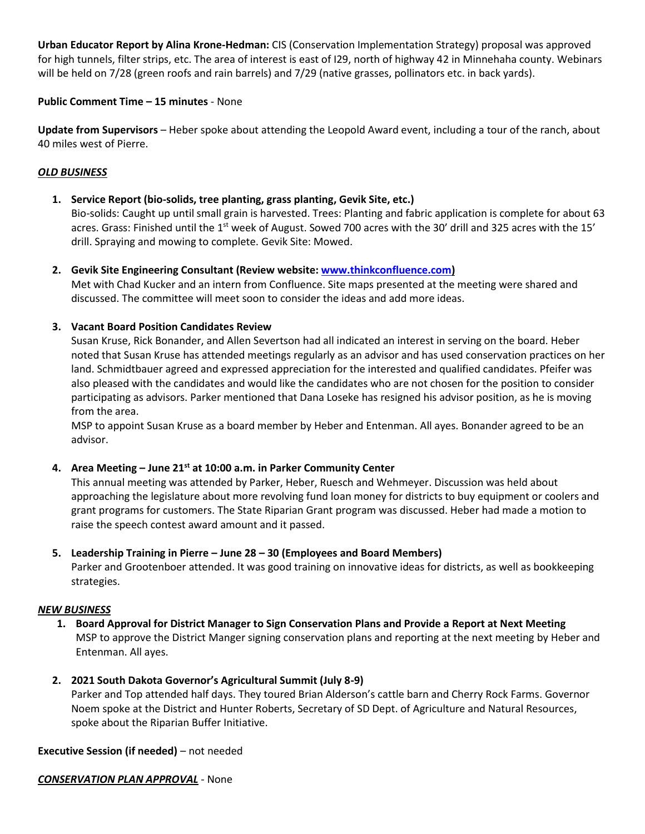**Urban Educator Report by Alina Krone-Hedman:** CIS (Conservation Implementation Strategy) proposal was approved for high tunnels, filter strips, etc. The area of interest is east of I29, north of highway 42 in Minnehaha county. Webinars will be held on 7/28 (green roofs and rain barrels) and 7/29 (native grasses, pollinators etc. in back yards).

## **Public Comment Time – 15 minutes** - None

**Update from Supervisors** – Heber spoke about attending the Leopold Award event, including a tour of the ranch, about 40 miles west of Pierre.

### *OLD BUSINESS*

**1. Service Report (bio-solids, tree planting, grass planting, Gevik Site, etc.)**

Bio-solids: Caught up until small grain is harvested. Trees: Planting and fabric application is complete for about 63 acres. Grass: Finished until the  $1<sup>st</sup>$  week of August. Sowed 700 acres with the 30' drill and 325 acres with the 15' drill. Spraying and mowing to complete. Gevik Site: Mowed.

**2. Gevik Site Engineering Consultant (Review website: [www.thinkconfluence.com\)](http://www.thinkconfluence.com/)**

Met with Chad Kucker and an intern from Confluence. Site maps presented at the meeting were shared and discussed. The committee will meet soon to consider the ideas and add more ideas.

### **3. Vacant Board Position Candidates Review**

Susan Kruse, Rick Bonander, and Allen Severtson had all indicated an interest in serving on the board. Heber noted that Susan Kruse has attended meetings regularly as an advisor and has used conservation practices on her land. Schmidtbauer agreed and expressed appreciation for the interested and qualified candidates. Pfeifer was also pleased with the candidates and would like the candidates who are not chosen for the position to consider participating as advisors. Parker mentioned that Dana Loseke has resigned his advisor position, as he is moving from the area.

MSP to appoint Susan Kruse as a board member by Heber and Entenman. All ayes. Bonander agreed to be an advisor.

# **4. Area Meeting – June 21st at 10:00 a.m. in Parker Community Center**

This annual meeting was attended by Parker, Heber, Ruesch and Wehmeyer. Discussion was held about approaching the legislature about more revolving fund loan money for districts to buy equipment or coolers and grant programs for customers. The State Riparian Grant program was discussed. Heber had made a motion to raise the speech contest award amount and it passed.

## **5. Leadership Training in Pierre – June 28 – 30 (Employees and Board Members)**

Parker and Grootenboer attended. It was good training on innovative ideas for districts, as well as bookkeeping strategies.

#### *NEW BUSINESS*

- **1. Board Approval for District Manager to Sign Conservation Plans and Provide a Report at Next Meeting** MSP to approve the District Manger signing conservation plans and reporting at the next meeting by Heber and Entenman. All ayes.
- **2. 2021 South Dakota Governor's Agricultural Summit (July 8-9)**

Parker and Top attended half days. They toured Brian Alderson's cattle barn and Cherry Rock Farms. Governor Noem spoke at the District and Hunter Roberts, Secretary of SD Dept. of Agriculture and Natural Resources, spoke about the Riparian Buffer Initiative.

## **Executive Session (if needed)** – not needed

*CONSERVATION PLAN APPROVAL* - None